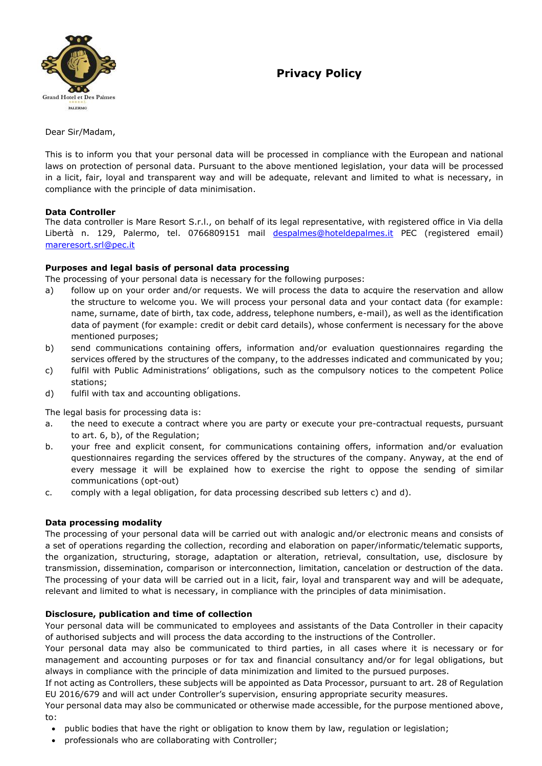# **Privacy Policy**



Dear Sir/Madam,

This is to inform you that your personal data will be processed in compliance with the European and national laws on protection of personal data. Pursuant to the above mentioned legislation, your data will be processed in a licit, fair, loyal and transparent way and will be adequate, relevant and limited to what is necessary, in compliance with the principle of data minimisation.

### **Data Controller**

The data controller is Mare Resort S.r.l., on behalf of its legal representative, with registered office in Via della Libertà n. 129, Palermo, tel. 0766809151 mail [despalmes@hoteldepalmes.it](mailto:despalmes@hoteldepalmes.it) PEC (registered email) [mareresort.srl@pec.it](mailto:mareresort.srl@pec.it)

## **Purposes and legal basis of personal data processing**

The processing of your personal data is necessary for the following purposes:

- a) follow up on your order and/or requests. We will process the data to acquire the reservation and allow the structure to welcome you. We will process your personal data and your contact data (for example: name, surname, date of birth, tax code, address, telephone numbers, e-mail), as well as the identification data of payment (for example: credit or debit card details), whose conferment is necessary for the above mentioned purposes;
- b) send communications containing offers, information and/or evaluation questionnaires regarding the services offered by the structures of the company, to the addresses indicated and communicated by you;
- c) fulfil with Public Administrations' obligations, such as the compulsory notices to the competent Police stations;
- d) fulfil with tax and accounting obligations.

The legal basis for processing data is:

- a. the need to execute a contract where you are party or execute your pre-contractual requests, pursuant to art. 6, b), of the Regulation;
- b. your free and explicit consent, for communications containing offers, information and/or evaluation questionnaires regarding the services offered by the structures of the company. Anyway, at the end of every message it will be explained how to exercise the right to oppose the sending of similar communications (opt-out)
- c. comply with a legal obligation, for data processing described sub letters c) and d).

## **Data processing modality**

The processing of your personal data will be carried out with analogic and/or electronic means and consists of a set of operations regarding the collection, recording and elaboration on paper/informatic/telematic supports, the organization, structuring, storage, adaptation or alteration, retrieval, consultation, use, disclosure by transmission, dissemination, comparison or interconnection, limitation, cancelation or destruction of the data. The processing of your data will be carried out in a licit, fair, loyal and transparent way and will be adequate, relevant and limited to what is necessary, in compliance with the principles of data minimisation.

## **Disclosure, publication and time of collection**

Your personal data will be communicated to employees and assistants of the Data Controller in their capacity of authorised subjects and will process the data according to the instructions of the Controller.

Your personal data may also be communicated to third parties, in all cases where it is necessary or for management and accounting purposes or for tax and financial consultancy and/or for legal obligations, but always in compliance with the principle of data minimization and limited to the pursued purposes.

If not acting as Controllers, these subjects will be appointed as Data Processor, pursuant to art. 28 of Regulation EU 2016/679 and will act under Controller's supervision, ensuring appropriate security measures.

Your personal data may also be communicated or otherwise made accessible, for the purpose mentioned above, to:

- public bodies that have the right or obligation to know them by law, regulation or legislation;
- professionals who are collaborating with Controller;